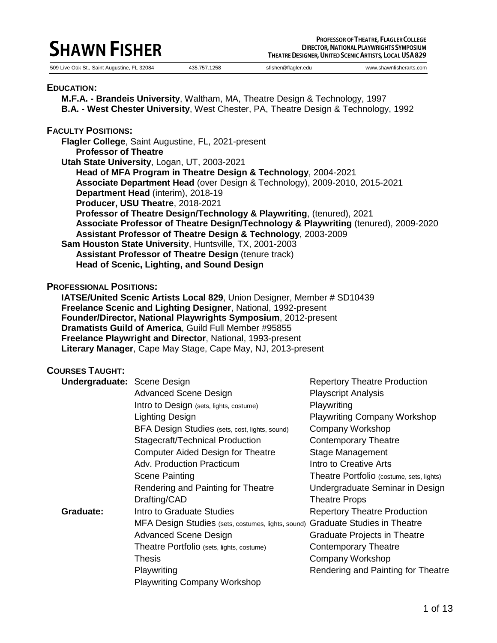# **SHAWN FISHER**

509 Live Oak St., Saint Augustine, FL 32084 435.757.1258 sfisher@flagler.edu www.shawnfisherarts.com

#### **EDUCATION:**

**M.F.A. - Brandeis University**, Waltham, MA, Theatre Design & Technology, 1997 **B.A. - West Chester University**, West Chester, PA, Theatre Design & Technology, 1992

#### **FACULTY POSITIONS:**

**Flagler College**, Saint Augustine, FL, 2021-present

**Professor of Theatre**

**Utah State University**, Logan, UT, 2003-2021

**Head of MFA Program in Theatre Design & Technology**, 2004-2021 **Associate Department Head** (over Design & Technology), 2009-2010, 2015-2021 **Department Head** (interim), 2018-19 **Producer, USU Theatre**, 2018-2021 **Professor of Theatre Design/Technology & Playwriting**, (tenured), 2021 **Associate Professor of Theatre Design/Technology & Playwriting** (tenured), 2009-2020 **Assistant Professor of Theatre Design & Technology**, 2003-2009 **Sam Houston State University**, Huntsville, TX, 2001-2003 **Assistant Professor of Theatre Design** (tenure track)

**Head of Scenic, Lighting, and Sound Design**

### **PROFESSIONAL POSITIONS:**

**IATSE/United Scenic Artists Local 829**, Union Designer, Member # SD10439 **Freelance Scenic and Lighting Designer**, National, 1992-present **Founder/Director, National Playwrights Symposium**, 2012-present **Dramatists Guild of America**, Guild Full Member #95855 **Freelance Playwright and Director**, National, 1993-present **Literary Manager**, Cape May Stage, Cape May, NJ, 2013-present

### **COURSES TAUGHT:**

| <b>Undergraduate: Scene Design</b> |                                                    | <b>Repertory Theatre Production</b>       |
|------------------------------------|----------------------------------------------------|-------------------------------------------|
|                                    | <b>Advanced Scene Design</b>                       | <b>Playscript Analysis</b>                |
|                                    | Intro to Design (sets, lights, costume)            | Playwriting                               |
|                                    | <b>Lighting Design</b>                             | <b>Playwriting Company Workshop</b>       |
|                                    | BFA Design Studies (sets, cost, lights, sound)     | Company Workshop                          |
|                                    | Stagecraft/Technical Production                    | <b>Contemporary Theatre</b>               |
|                                    | <b>Computer Aided Design for Theatre</b>           | Stage Management                          |
|                                    | Adv. Production Practicum                          | Intro to Creative Arts                    |
|                                    | <b>Scene Painting</b>                              | Theatre Portfolio (costume, sets, lights) |
|                                    | Rendering and Painting for Theatre                 | Undergraduate Seminar in Design           |
|                                    | Drafting/CAD                                       | <b>Theatre Props</b>                      |
| Graduate:                          | Intro to Graduate Studies                          | <b>Repertory Theatre Production</b>       |
|                                    | MFA Design Studies (sets, costumes, lights, sound) | <b>Graduate Studies in Theatre</b>        |
|                                    | <b>Advanced Scene Design</b>                       | Graduate Projects in Theatre              |
|                                    | Theatre Portfolio (sets, lights, costume)          | Contemporary Theatre                      |
|                                    | Thesis                                             | Company Workshop                          |
|                                    | Playwriting                                        | Rendering and Painting for Theatre        |
|                                    | Playwriting Company Workshop                       |                                           |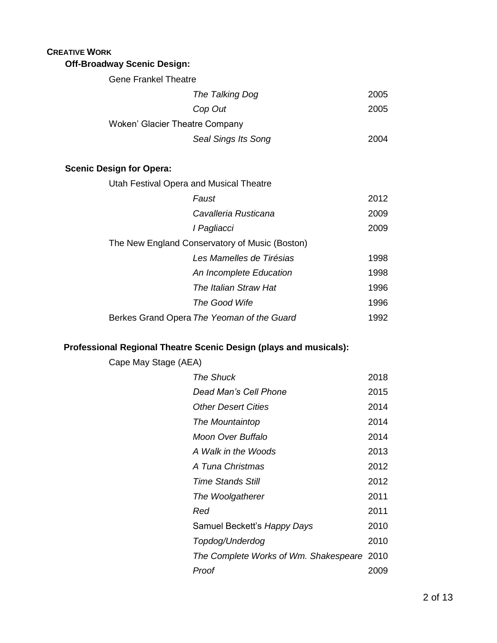## **CREATIVE WORK Off-Broadway Scenic Design:**

| <b>Gene Frankel Theatre</b> |                                |      |
|-----------------------------|--------------------------------|------|
|                             | The Talking Dog                | 2005 |
|                             | Cop Out                        | 2005 |
|                             | Woken' Glacier Theatre Company |      |
|                             | Seal Sings Its Song            | 2004 |
|                             |                                |      |

## **Scenic Design for Opera:**

| Utah Festival Opera and Musical Theatre        |                                            |      |  |
|------------------------------------------------|--------------------------------------------|------|--|
|                                                | Faust                                      | 2012 |  |
|                                                | Cavalleria Rusticana                       | 2009 |  |
|                                                | I Pagliacci                                | 2009 |  |
| The New England Conservatory of Music (Boston) |                                            |      |  |
|                                                | Les Mamelles de Tirésias                   | 1998 |  |
|                                                | An Incomplete Education                    | 1998 |  |
|                                                | The Italian Straw Hat                      | 1996 |  |
|                                                | The Good Wife                              | 1996 |  |
|                                                | Berkes Grand Opera The Yeoman of the Guard | 1992 |  |

## **Professional Regional Theatre Scenic Design (plays and musicals):**

| Cape May Stage (AEA)                       |      |
|--------------------------------------------|------|
| <b>The Shuck</b>                           | 2018 |
| Dead Man's Cell Phone                      | 2015 |
| <b>Other Desert Cities</b>                 | 2014 |
| The Mountaintop                            | 2014 |
| Moon Over Buffalo                          | 2014 |
| A Walk in the Woods                        | 2013 |
| A Tuna Christmas                           | 2012 |
| <b>Time Stands Still</b>                   | 2012 |
| The Woolgatherer                           | 2011 |
| Red                                        | 2011 |
| Samuel Beckett's Happy Days                | 2010 |
| Topdog/Underdog                            | 2010 |
| The Complete Works of Wm. Shakespeare 2010 |      |
| Proof                                      | 2009 |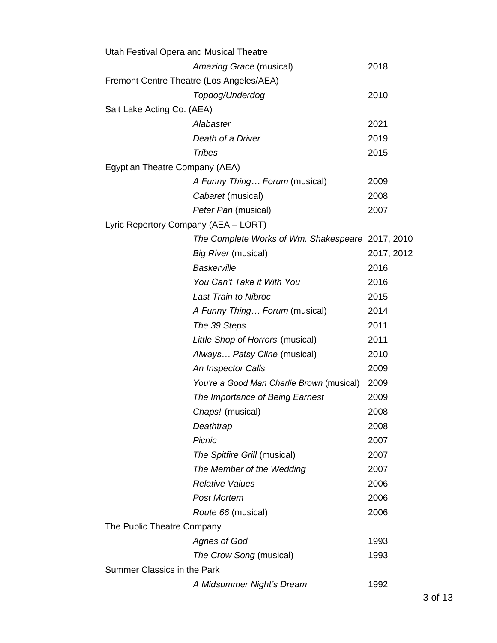| Utah Festival Opera and Musical Theatre          |            |
|--------------------------------------------------|------------|
| Amazing Grace (musical)                          | 2018       |
| Fremont Centre Theatre (Los Angeles/AEA)         |            |
| Topdog/Underdog                                  | 2010       |
| Salt Lake Acting Co. (AEA)                       |            |
| Alabaster                                        | 2021       |
| Death of a Driver                                | 2019       |
| <b>Tribes</b>                                    | 2015       |
| Egyptian Theatre Company (AEA)                   |            |
| A Funny Thing Forum (musical)                    | 2009       |
| Cabaret (musical)                                | 2008       |
| Peter Pan (musical)                              | 2007       |
| Lyric Repertory Company (AEA - LORT)             |            |
| The Complete Works of Wm. Shakespeare 2017, 2010 |            |
| Big River (musical)                              | 2017, 2012 |
| <b>Baskerville</b>                               | 2016       |
| You Can't Take it With You                       | 2016       |
| <b>Last Train to Nibroc</b>                      | 2015       |
| A Funny Thing Forum (musical)                    | 2014       |
| The 39 Steps                                     | 2011       |
| Little Shop of Horrors (musical)                 | 2011       |
| Always Patsy Cline (musical)                     | 2010       |
| An Inspector Calls                               | 2009       |
| You're a Good Man Charlie Brown (musical)        | 2009       |
| The Importance of Being Earnest                  | 2009       |
| Chaps! (musical)                                 | 2008       |
| Deathtrap                                        | 2008       |
| Picnic                                           | 2007       |
| The Spitfire Grill (musical)                     | 2007       |
| The Member of the Wedding                        | 2007       |
| <b>Relative Values</b>                           | 2006       |
| <b>Post Mortem</b>                               | 2006       |
| Route 66 (musical)                               | 2006       |
| The Public Theatre Company                       |            |
| Agnes of God                                     | 1993       |
| The Crow Song (musical)                          | 1993       |
| Summer Classics in the Park                      |            |
| A Midsummer Night's Dream                        | 1992       |
|                                                  |            |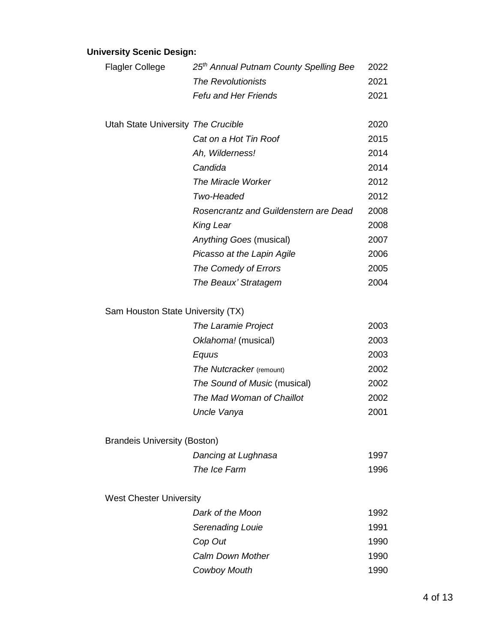# **University Scenic Design:**

| <b>Flagler College</b>              | 25 <sup>th</sup> Annual Putnam County Spelling Bee | 2022 |
|-------------------------------------|----------------------------------------------------|------|
|                                     | <b>The Revolutionists</b>                          | 2021 |
|                                     | <b>Fefu and Her Friends</b>                        | 2021 |
|                                     |                                                    |      |
| Utah State University The Crucible  |                                                    | 2020 |
|                                     | Cat on a Hot Tin Roof                              | 2015 |
|                                     | Ah, Wilderness!                                    | 2014 |
|                                     | Candida                                            | 2014 |
|                                     | <b>The Miracle Worker</b>                          | 2012 |
|                                     | Two-Headed                                         | 2012 |
|                                     | Rosencrantz and Guildenstern are Dead              | 2008 |
|                                     | <b>King Lear</b>                                   | 2008 |
|                                     | Anything Goes (musical)                            | 2007 |
|                                     | Picasso at the Lapin Agile                         | 2006 |
|                                     | The Comedy of Errors                               | 2005 |
|                                     | The Beaux' Stratagem                               | 2004 |
| Sam Houston State University (TX)   |                                                    |      |
|                                     | The Laramie Project                                | 2003 |
|                                     | Oklahoma! (musical)                                | 2003 |
|                                     | Equus                                              | 2003 |
|                                     | The Nutcracker (remount)                           | 2002 |
|                                     | The Sound of Music (musical)                       | 2002 |
|                                     | The Mad Woman of Chaillot                          | 2002 |
|                                     | Uncle Vanya                                        | 2001 |
|                                     |                                                    |      |
| <b>Brandeis University (Boston)</b> |                                                    |      |
|                                     | Dancing at Lughnasa                                | 1997 |
|                                     | The Ice Farm                                       | 1996 |
| <b>West Chester University</b>      |                                                    |      |
|                                     | Dark of the Moon                                   | 1992 |
|                                     | Serenading Louie                                   | 1991 |
|                                     | Cop Out                                            | 1990 |
|                                     | <b>Calm Down Mother</b>                            | 1990 |
|                                     |                                                    | 1990 |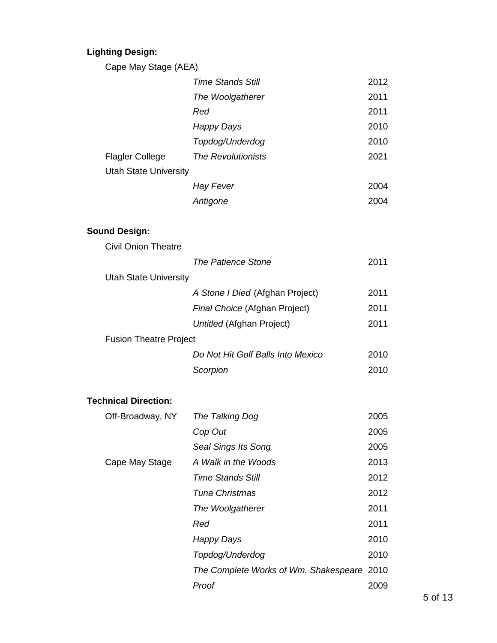# **Lighting Design:**

Cape May Stage (AEA)

|                              | <b>Time Stands Still</b>  | 2012 |
|------------------------------|---------------------------|------|
|                              | The Woolgatherer          | 2011 |
|                              | Red                       | 2011 |
|                              | Happy Days                | 2010 |
|                              | Topdog/Underdog           | 2010 |
| <b>Flagler College</b>       | <b>The Revolutionists</b> | 2021 |
| <b>Utah State University</b> |                           |      |
|                              | Hay Fever                 | 2004 |
|                              | Antigone                  | 2004 |

## **Sound Design:**

| <b>Civil Onion Theatre</b>    |                                   |      |
|-------------------------------|-----------------------------------|------|
|                               | The Patience Stone                | 2011 |
| <b>Utah State University</b>  |                                   |      |
|                               | A Stone I Died (Afghan Project)   | 2011 |
|                               | Final Choice (Afghan Project)     | 2011 |
|                               | Untitled (Afghan Project)         | 2011 |
| <b>Fusion Theatre Project</b> |                                   |      |
|                               | Do Not Hit Golf Balls Into Mexico | 2010 |
|                               | Scorpion                          | 2010 |
|                               |                                   |      |

## **Technical Direction:**

| Off-Broadway, NY | The Talking Dog                            | 2005 |
|------------------|--------------------------------------------|------|
|                  | Cop Out                                    | 2005 |
|                  | Seal Sings Its Song                        | 2005 |
| Cape May Stage   | A Walk in the Woods                        | 2013 |
|                  | <b>Time Stands Still</b>                   | 2012 |
|                  | Tuna Christmas                             | 2012 |
|                  | The Woolgatherer                           | 2011 |
|                  | Red                                        | 2011 |
|                  | Happy Days                                 | 2010 |
|                  | Topdog/Underdog                            | 2010 |
|                  | The Complete Works of Wm. Shakespeare 2010 |      |
|                  | Proof                                      | 2009 |
|                  |                                            |      |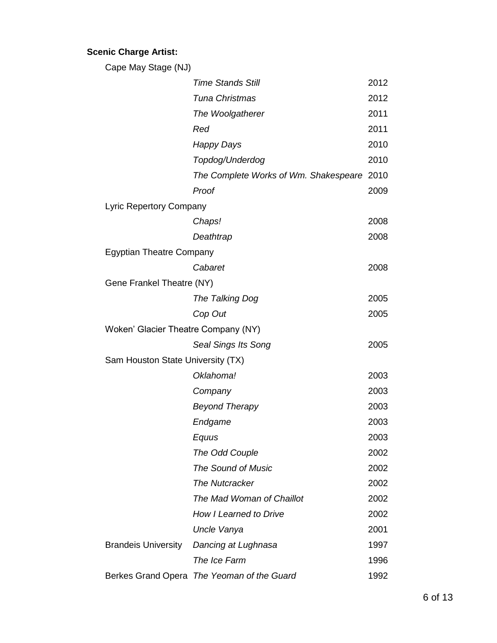## **Scenic Charge Artist:**

| Cape May Stage (NJ)                 |                                            |      |
|-------------------------------------|--------------------------------------------|------|
|                                     | <b>Time Stands Still</b>                   | 2012 |
|                                     | Tuna Christmas                             | 2012 |
|                                     | The Woolgatherer                           | 2011 |
|                                     | Red                                        | 2011 |
|                                     | Happy Days                                 | 2010 |
|                                     | Topdog/Underdog                            | 2010 |
|                                     | The Complete Works of Wm. Shakespeare 2010 |      |
|                                     | Proof                                      | 2009 |
| Lyric Repertory Company             |                                            |      |
|                                     | Chaps!                                     | 2008 |
|                                     | Deathtrap                                  | 2008 |
| <b>Egyptian Theatre Company</b>     |                                            |      |
|                                     | Cabaret                                    | 2008 |
| Gene Frankel Theatre (NY)           |                                            |      |
|                                     | The Talking Dog                            | 2005 |
|                                     | Cop Out                                    | 2005 |
| Woken' Glacier Theatre Company (NY) |                                            |      |
|                                     | Seal Sings Its Song                        | 2005 |
| Sam Houston State University (TX)   |                                            |      |
|                                     | Oklahoma!                                  | 2003 |
|                                     | Company                                    | 2003 |
|                                     | <b>Beyond Therapy</b>                      | 2003 |
|                                     | Endgame                                    | 2003 |
|                                     | Equus                                      | 2003 |
|                                     | The Odd Couple                             | 2002 |
|                                     | <b>The Sound of Music</b>                  | 2002 |
|                                     | <b>The Nutcracker</b>                      | 2002 |
|                                     | The Mad Woman of Chaillot                  | 2002 |
|                                     | How I Learned to Drive                     | 2002 |
|                                     | Uncle Vanya                                | 2001 |
| <b>Brandeis University</b>          | Dancing at Lughnasa                        | 1997 |
|                                     | The Ice Farm                               | 1996 |
|                                     | Berkes Grand Opera The Yeoman of the Guard | 1992 |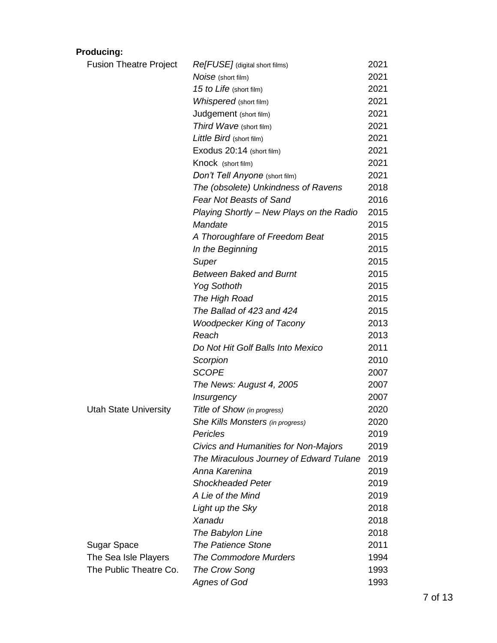## **Producing:**

| <b>Fusion Theatre Project</b> | Re[FUSE] (digital short films)           | 2021 |
|-------------------------------|------------------------------------------|------|
|                               | Noise (short film)                       | 2021 |
|                               | 15 to Life (short film)                  | 2021 |
|                               | Whispered (short film)                   | 2021 |
|                               | Judgement (short film)                   | 2021 |
|                               | Third Wave (short film)                  | 2021 |
|                               | Little Bird (short film)                 | 2021 |
|                               | Exodus 20:14 (short film)                | 2021 |
|                               | Knock (short film)                       | 2021 |
|                               | Don't Tell Anyone (short film)           | 2021 |
|                               | The (obsolete) Unkindness of Ravens      | 2018 |
|                               | <b>Fear Not Beasts of Sand</b>           | 2016 |
|                               | Playing Shortly - New Plays on the Radio | 2015 |
|                               | Mandate                                  | 2015 |
|                               | A Thoroughfare of Freedom Beat           | 2015 |
|                               | In the Beginning                         | 2015 |
|                               | Super                                    | 2015 |
|                               | <b>Between Baked and Burnt</b>           | 2015 |
|                               | <b>Yog Sothoth</b>                       | 2015 |
|                               | The High Road                            | 2015 |
|                               | The Ballad of 423 and 424                | 2015 |
|                               | <b>Woodpecker King of Tacony</b>         | 2013 |
|                               | Reach                                    | 2013 |
|                               | Do Not Hit Golf Balls Into Mexico        | 2011 |
|                               | Scorpion                                 | 2010 |
|                               | <b>SCOPE</b>                             | 2007 |
|                               | The News: August 4, 2005                 | 2007 |
|                               | Insurgency                               | 2007 |
| <b>Utah State University</b>  | Title of Show (in progress)              | 2020 |
|                               | She Kills Monsters (in progress)         | 2020 |
|                               | Pericles                                 | 2019 |
|                               | Civics and Humanities for Non-Majors     | 2019 |
|                               | The Miraculous Journey of Edward Tulane  | 2019 |
|                               | Anna Karenina                            | 2019 |
|                               | <b>Shockheaded Peter</b>                 | 2019 |
|                               | A Lie of the Mind                        | 2019 |
|                               | Light up the Sky                         | 2018 |
|                               | Xanadu                                   | 2018 |
|                               | The Babylon Line                         | 2018 |
| Sugar Space                   | <b>The Patience Stone</b>                | 2011 |
| The Sea Isle Players          | <b>The Commodore Murders</b>             | 1994 |
| The Public Theatre Co.        | The Crow Song                            | 1993 |
|                               | <b>Agnes of God</b>                      | 1993 |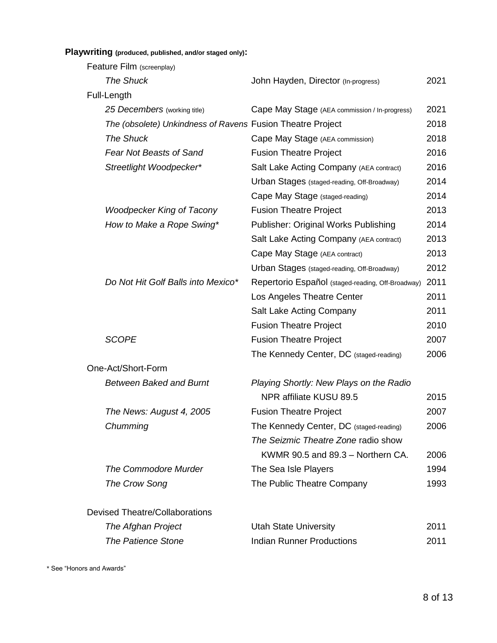**Playwriting (produced, published, and/or staged only):**

| Feature Film (screenplay)                                  |                                                   |      |
|------------------------------------------------------------|---------------------------------------------------|------|
| <b>The Shuck</b>                                           | John Hayden, Director (In-progress)               | 2021 |
| Full-Length                                                |                                                   |      |
| 25 Decembers (working title)                               | Cape May Stage (AEA commission / In-progress)     | 2021 |
| The (obsolete) Unkindness of Ravens Fusion Theatre Project |                                                   | 2018 |
| <b>The Shuck</b>                                           | Cape May Stage (AEA commission)                   | 2018 |
| <b>Fear Not Beasts of Sand</b>                             | <b>Fusion Theatre Project</b>                     | 2016 |
| Streetlight Woodpecker*                                    | Salt Lake Acting Company (AEA contract)           | 2016 |
|                                                            | Urban Stages (staged-reading, Off-Broadway)       | 2014 |
|                                                            | Cape May Stage (staged-reading)                   | 2014 |
| <b>Woodpecker King of Tacony</b>                           | <b>Fusion Theatre Project</b>                     | 2013 |
| How to Make a Rope Swing*                                  | Publisher: Original Works Publishing              | 2014 |
|                                                            | Salt Lake Acting Company (AEA contract)           | 2013 |
|                                                            | Cape May Stage (AEA contract)                     | 2013 |
|                                                            | Urban Stages (staged-reading, Off-Broadway)       | 2012 |
| Do Not Hit Golf Balls into Mexico*                         | Repertorio Español (staged-reading, Off-Broadway) | 2011 |
|                                                            | Los Angeles Theatre Center                        | 2011 |
|                                                            | Salt Lake Acting Company                          | 2011 |
|                                                            | <b>Fusion Theatre Project</b>                     | 2010 |
| <b>SCOPE</b>                                               | <b>Fusion Theatre Project</b>                     | 2007 |
|                                                            | The Kennedy Center, DC (staged-reading)           | 2006 |
| One-Act/Short-Form                                         |                                                   |      |
| <b>Between Baked and Burnt</b>                             | Playing Shortly: New Plays on the Radio           |      |
|                                                            | NPR affiliate KUSU 89.5                           | 2015 |
| The News: August 4, 2005                                   | <b>Fusion Theatre Project</b>                     | 2007 |
| Chumming                                                   | The Kennedy Center, DC (staged-reading)           | 2006 |
|                                                            | The Seizmic Theatre Zone radio show               |      |
|                                                            | KWMR 90.5 and 89.3 - Northern CA.                 | 2006 |
| <b>The Commodore Murder</b>                                | The Sea Isle Players                              | 1994 |
| The Crow Song                                              | The Public Theatre Company                        | 1993 |
| <b>Devised Theatre/Collaborations</b>                      |                                                   |      |
| The Afghan Project                                         | <b>Utah State University</b>                      | 2011 |
| <b>The Patience Stone</b>                                  | <b>Indian Runner Productions</b>                  | 2011 |

\* See "Honors and Awards"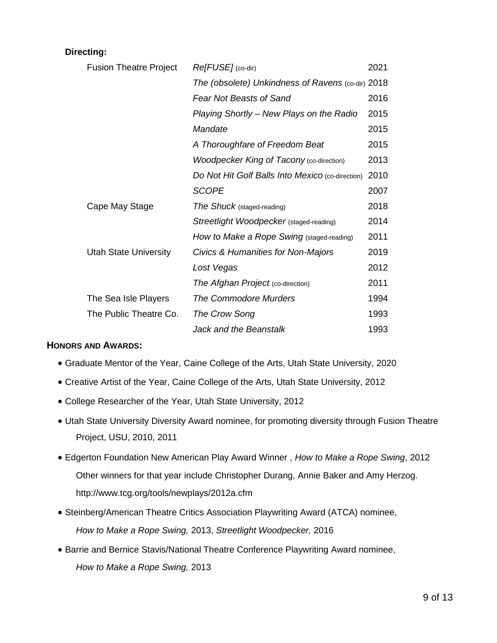#### **Directing:**

| <b>Fusion Theatre Project</b> | Re[FUSE] (co-dir)                                 | 2021 |
|-------------------------------|---------------------------------------------------|------|
|                               | The (obsolete) Unkindness of Ravens (co-dir) 2018 |      |
|                               | <b>Fear Not Beasts of Sand</b>                    | 2016 |
|                               | Playing Shortly - New Plays on the Radio          | 2015 |
|                               | Mandate                                           | 2015 |
|                               | A Thoroughfare of Freedom Beat                    | 2015 |
|                               | <b>Woodpecker King of Tacony (co-direction)</b>   | 2013 |
|                               | Do Not Hit Golf Balls Into Mexico (co-direction)  | 2010 |
|                               | <b>SCOPE</b>                                      | 2007 |
| Cape May Stage                | The Shuck (staged-reading)                        | 2018 |
|                               | Streetlight Woodpecker (staged-reading)           | 2014 |
|                               | How to Make a Rope Swing (staged-reading)         | 2011 |
| <b>Utah State University</b>  | Civics & Humanities for Non-Majors                | 2019 |
|                               | Lost Vegas                                        | 2012 |
|                               | The Afghan Project (co-direction)                 | 2011 |
| The Sea Isle Players          | <b>The Commodore Murders</b>                      | 1994 |
| The Public Theatre Co.        | The Crow Song                                     | 1993 |
|                               | Jack and the Beanstalk                            | 1993 |

#### **HONORS AND AWARDS:**

- Graduate Mentor of the Year, Caine College of the Arts, Utah State University, 2020
- Creative Artist of the Year, Caine College of the Arts, Utah State University, 2012
- College Researcher of the Year, Utah State University, 2012
- Utah State University Diversity Award nominee, for promoting diversity through Fusion Theatre Project, USU, 2010, 2011
- Edgerton Foundation New American Play Award Winner , *How to Make a Rope Swing*, 2012 Other winners for that year include Christopher Durang, Annie Baker and Amy Herzog. http://www.tcg.org/tools/newplays/2012a.cfm
- Steinberg/American Theatre Critics Association Playwriting Award (ATCA) nominee, *How to Make a Rope Swing,* 2013, *Streetlight Woodpecker,* 2016
- Barrie and Bernice Stavis/National Theatre Conference Playwriting Award nominee, *How to Make a Rope Swing,* 2013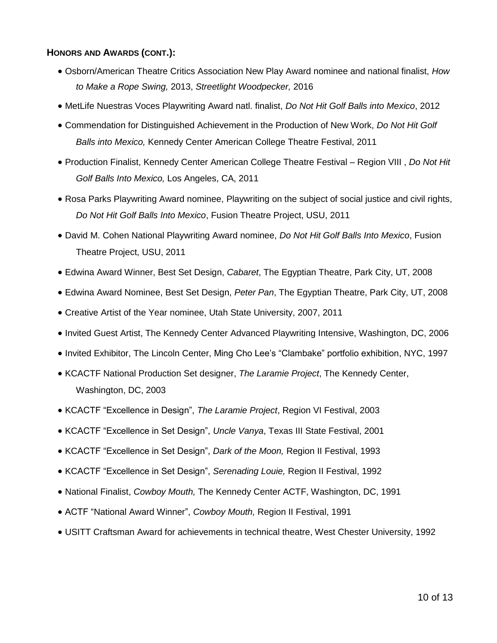#### **HONORS AND AWARDS (CONT.):**

- Osborn/American Theatre Critics Association New Play Award nominee and national finalist, *How to Make a Rope Swing,* 2013, *Streetlight Woodpecker,* 2016
- MetLife Nuestras Voces Playwriting Award natl. finalist, *Do Not Hit Golf Balls into Mexico*, 2012
- Commendation for Distinguished Achievement in the Production of New Work, *Do Not Hit Golf Balls into Mexico,* Kennedy Center American College Theatre Festival, 2011
- Production Finalist, Kennedy Center American College Theatre Festival Region VIII , *Do Not Hit Golf Balls Into Mexico,* Los Angeles, CA, 2011
- Rosa Parks Playwriting Award nominee, Playwriting on the subject of social justice and civil rights, *Do Not Hit Golf Balls Into Mexico*, Fusion Theatre Project, USU, 2011
- David M. Cohen National Playwriting Award nominee, *Do Not Hit Golf Balls Into Mexico*, Fusion Theatre Project, USU, 2011
- Edwina Award Winner, Best Set Design, *Cabaret*, The Egyptian Theatre, Park City, UT, 2008
- Edwina Award Nominee, Best Set Design, *Peter Pan*, The Egyptian Theatre, Park City, UT, 2008
- Creative Artist of the Year nominee, Utah State University, 2007, 2011
- Invited Guest Artist, The Kennedy Center Advanced Playwriting Intensive, Washington, DC, 2006
- Invited Exhibitor, The Lincoln Center, Ming Cho Lee's "Clambake" portfolio exhibition, NYC, 1997
- KCACTF National Production Set designer, *The Laramie Project*, The Kennedy Center, Washington, DC, 2003
- KCACTF "Excellence in Design", *The Laramie Project*, Region VI Festival, 2003
- KCACTF "Excellence in Set Design", *Uncle Vanya*, Texas III State Festival, 2001
- KCACTF "Excellence in Set Design", *Dark of the Moon,* Region II Festival, 1993
- KCACTF "Excellence in Set Design", *Serenading Louie,* Region II Festival, 1992
- National Finalist, *Cowboy Mouth,* The Kennedy Center ACTF, Washington, DC, 1991
- ACTF "National Award Winner", *Cowboy Mouth,* Region II Festival, 1991
- USITT Craftsman Award for achievements in technical theatre, West Chester University, 1992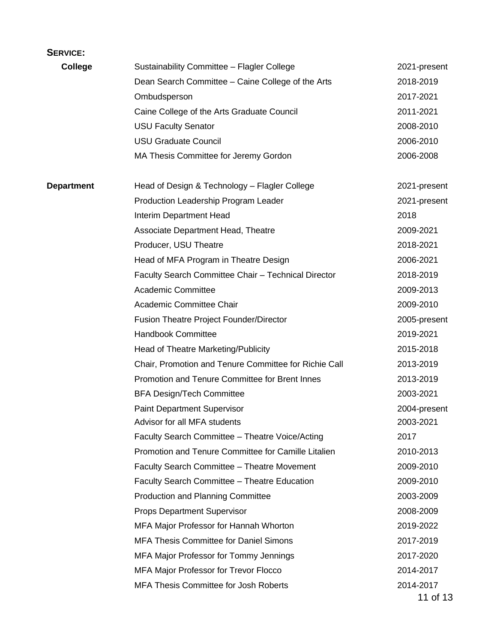## **SERVICE:**

| <b>College</b>    | Sustainability Committee - Flagler College            | 2021-present |
|-------------------|-------------------------------------------------------|--------------|
|                   | Dean Search Committee - Caine College of the Arts     | 2018-2019    |
|                   | Ombudsperson                                          | 2017-2021    |
|                   | Caine College of the Arts Graduate Council            | 2011-2021    |
|                   | <b>USU Faculty Senator</b>                            | 2008-2010    |
|                   | <b>USU Graduate Council</b>                           | 2006-2010    |
|                   | MA Thesis Committee for Jeremy Gordon                 | 2006-2008    |
| <b>Department</b> | Head of Design & Technology - Flagler College         | 2021-present |
|                   | Production Leadership Program Leader                  | 2021-present |
|                   | Interim Department Head                               | 2018         |
|                   | Associate Department Head, Theatre                    | 2009-2021    |
|                   | Producer, USU Theatre                                 | 2018-2021    |
|                   | Head of MFA Program in Theatre Design                 | 2006-2021    |
|                   | Faculty Search Committee Chair - Technical Director   | 2018-2019    |
|                   | <b>Academic Committee</b>                             | 2009-2013    |
|                   | Academic Committee Chair                              | 2009-2010    |
|                   | <b>Fusion Theatre Project Founder/Director</b>        | 2005-present |
|                   | Handbook Committee                                    | 2019-2021    |
|                   | Head of Theatre Marketing/Publicity                   | 2015-2018    |
|                   | Chair, Promotion and Tenure Committee for Richie Call | 2013-2019    |
|                   | Promotion and Tenure Committee for Brent Innes        | 2013-2019    |
|                   | <b>BFA Design/Tech Committee</b>                      | 2003-2021    |
|                   | <b>Paint Department Supervisor</b>                    | 2004-present |
|                   | Advisor for all MFA students                          | 2003-2021    |
|                   | Faculty Search Committee - Theatre Voice/Acting       | 2017         |
|                   | Promotion and Tenure Committee for Camille Litalien   | 2010-2013    |
|                   | Faculty Search Committee - Theatre Movement           | 2009-2010    |
|                   | Faculty Search Committee - Theatre Education          | 2009-2010    |
|                   | <b>Production and Planning Committee</b>              | 2003-2009    |
|                   | <b>Props Department Supervisor</b>                    | 2008-2009    |
|                   | MFA Major Professor for Hannah Whorton                | 2019-2022    |
|                   | <b>MFA Thesis Committee for Daniel Simons</b>         | 2017-2019    |
|                   | MFA Major Professor for Tommy Jennings                | 2017-2020    |
|                   | <b>MFA Major Professor for Trevor Flocco</b>          | 2014-2017    |
|                   | MFA Thesis Committee for Josh Roberts                 | 2014-2017    |
|                   |                                                       | - 1 A C      |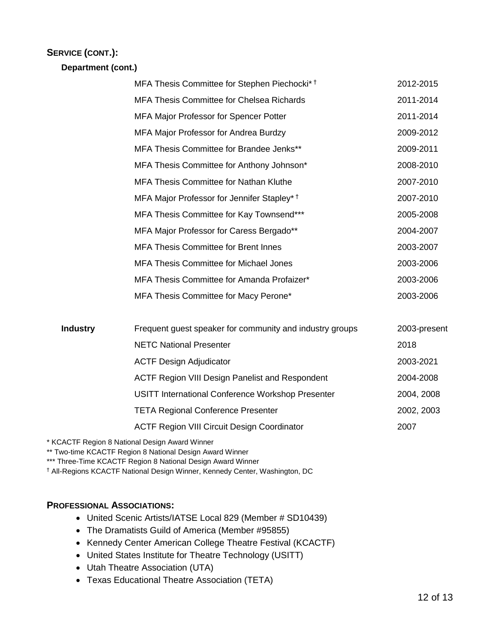## **SERVICE (CONT.):**

**Department (cont.)**

|                 | MFA Thesis Committee for Stephen Piechocki* <sup>†</sup> | 2012-2015    |
|-----------------|----------------------------------------------------------|--------------|
|                 | <b>MFA Thesis Committee for Chelsea Richards</b>         | 2011-2014    |
|                 | MFA Major Professor for Spencer Potter                   | 2011-2014    |
|                 | MFA Major Professor for Andrea Burdzy                    | 2009-2012    |
|                 | MFA Thesis Committee for Brandee Jenks**                 | 2009-2011    |
|                 | MFA Thesis Committee for Anthony Johnson*                | 2008-2010    |
|                 | <b>MFA Thesis Committee for Nathan Kluthe</b>            | 2007-2010    |
|                 | MFA Major Professor for Jennifer Stapley* <sup>†</sup>   | 2007-2010    |
|                 | MFA Thesis Committee for Kay Townsend***                 | 2005-2008    |
|                 | MFA Major Professor for Caress Bergado**                 | 2004-2007    |
|                 | <b>MFA Thesis Committee for Brent Innes</b>              | 2003-2007    |
|                 | <b>MFA Thesis Committee for Michael Jones</b>            | 2003-2006    |
|                 | MFA Thesis Committee for Amanda Profaizer*               | 2003-2006    |
|                 | MFA Thesis Committee for Macy Perone*                    | 2003-2006    |
| <b>Industry</b> | Frequent guest speaker for community and industry groups | 2003-present |
|                 | <b>NETC National Presenter</b>                           | 2018         |
|                 | <b>ACTF Design Adjudicator</b>                           | 2003-2021    |
|                 | <b>ACTF Region VIII Design Panelist and Respondent</b>   | 2004-2008    |
|                 | <b>USITT International Conference Workshop Presenter</b> | 2004, 2008   |
|                 | <b>TETA Regional Conference Presenter</b>                | 2002, 2003   |
|                 | <b>ACTF Region VIII Circuit Design Coordinator</b>       | 2007         |
|                 |                                                          |              |

\* KCACTF Region 8 National Design Award Winner

\*\* Two-time KCACTF Region 8 National Design Award Winner

\*\*\* Three-Time KCACTF Region 8 National Design Award Winner

† All-Regions KCACTF National Design Winner, Kennedy Center, Washington, DC

#### **PROFESSIONAL ASSOCIATIONS:**

- United Scenic Artists/IATSE Local 829 (Member # SD10439)
- The Dramatists Guild of America (Member #95855)
- Kennedy Center American College Theatre Festival (KCACTF)
- United States Institute for Theatre Technology (USITT)
- Utah Theatre Association (UTA)
- Texas Educational Theatre Association (TETA)